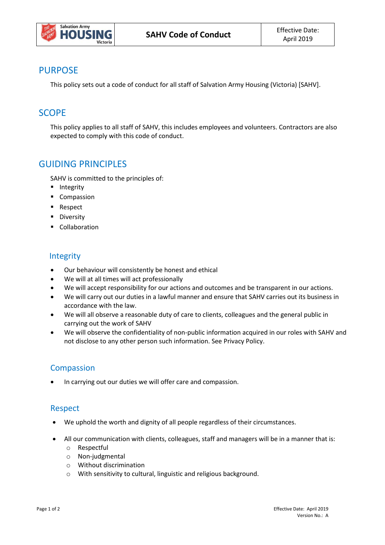

### PURPOSE

This policy sets out a code of conduct for all staff of Salvation Army Housing (Victoria) [SAHV].

# **SCOPE**

This policy applies to all staff of SAHV, this includes employees and volunteers. Contractors are also expected to comply with this code of conduct.

## GUIDING PRINCIPLES

SAHV is committed to the principles of:

- **Integrity**
- **Compassion**
- **Respect**
- **Diversity**
- **Collaboration**

#### Integrity

- Our behaviour will consistently be honest and ethical
- We will at all times will act professionally
- We will accept responsibility for our actions and outcomes and be transparent in our actions.
- We will carry out our duties in a lawful manner and ensure that SAHV carries out its business in accordance with the law.
- We will all observe a reasonable duty of care to clients, colleagues and the general public in carrying out the work of SAHV
- We will observe the confidentiality of non-public information acquired in our roles with SAHV and not disclose to any other person such information. See Privacy Policy.

### **Compassion**

In carrying out our duties we will offer care and compassion.

#### Respect

- We uphold the worth and dignity of all people regardless of their circumstances.
- All our communication with clients, colleagues, staff and managers will be in a manner that is:
	- o Respectful
	- o Non-judgmental
	- o Without discrimination
	- o With sensitivity to cultural, linguistic and religious background.